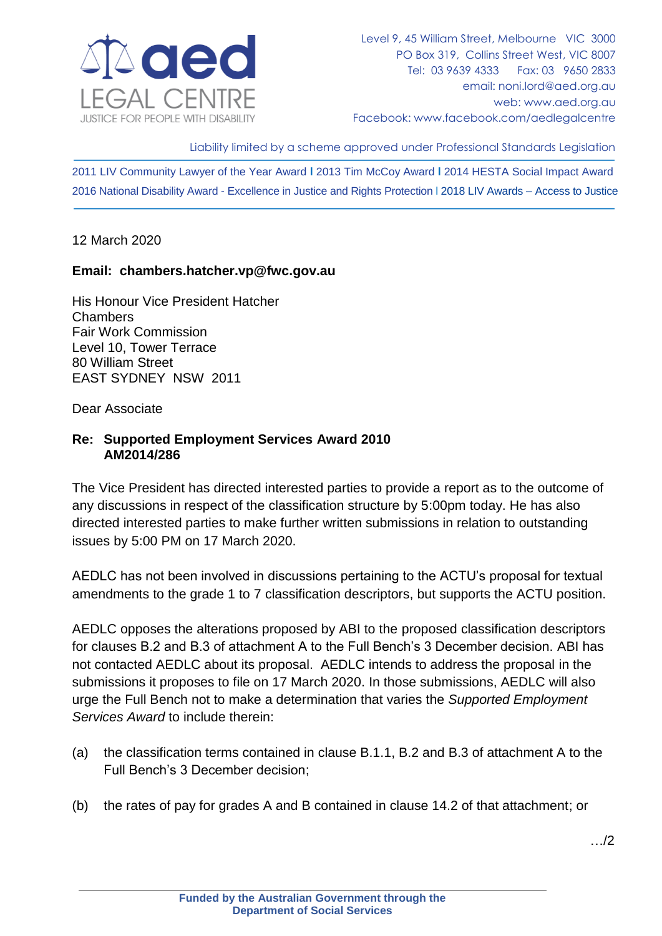

Liability limited by a scheme approved under Professional Standards Legislation

2011 LIV Community Lawyer of the Year Award **l** 2013 Tim McCoy Award **l** 2014 HESTA Social Impact Award 2016 National Disability Award - Excellence in Justice and Rights Protection l 2018 LIV Awards – Access to Justice

12 March 2020

## **Email: chambers.hatcher.vp@fwc.gov.au**

His Honour Vice President Hatcher Chambers Fair Work Commission Level 10, Tower Terrace 80 William Street EAST SYDNEY NSW 2011

Dear Associate

## **Re: Supported Employment Services Award 2010 AM2014/286**

The Vice President has directed interested parties to provide a report as to the outcome of any discussions in respect of the classification structure by 5:00pm today. He has also directed interested parties to make further written submissions in relation to outstanding issues by 5:00 PM on 17 March 2020.

AEDLC has not been involved in discussions pertaining to the ACTU's proposal for textual amendments to the grade 1 to 7 classification descriptors, but supports the ACTU position.

AEDLC opposes the alterations proposed by ABI to the proposed classification descriptors for clauses B.2 and B.3 of attachment A to the Full Bench's 3 December decision. ABI has not contacted AEDLC about its proposal. AEDLC intends to address the proposal in the submissions it proposes to file on 17 March 2020. In those submissions, AEDLC will also urge the Full Bench not to make a determination that varies the *Supported Employment Services Award* to include therein:

- (a) the classification terms contained in clause B.1.1, B.2 and B.3 of attachment A to the Full Bench's 3 December decision;
- (b) the rates of pay for grades A and B contained in clause 14.2 of that attachment; or

…/2